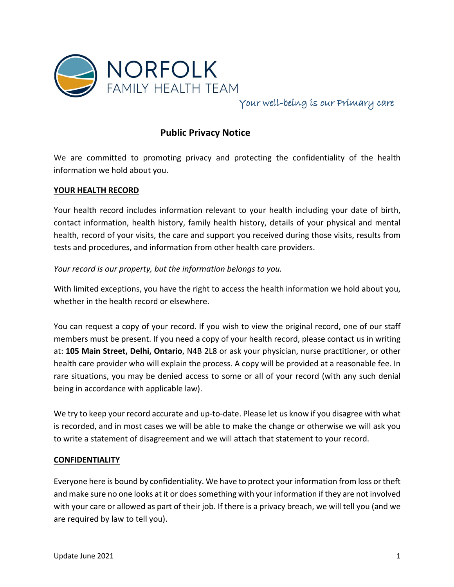

Your well-being is our Primary care

# **Public Privacy Notice**

We are committed to promoting privacy and protecting the confidentiality of the health information we hold about you.

### **YOUR HEALTH RECORD**

Your health record includes information relevant to your health including your date of birth, contact information, health history, family health history, details of your physical and mental health, record of your visits, the care and support you received during those visits, results from tests and procedures, and information from other health care providers.

### *Your record is our property, but the information belongs to you.*

With limited exceptions, you have the right to access the health information we hold about you, whether in the health record or elsewhere.

You can request a copy of your record. If you wish to view the original record, one of our staff members must be present. If you need a copy of your health record, please contact us in writing at: **105 Main Street, Delhi, Ontario**, N4B 2L8 or ask your physician, nurse practitioner, or other health care provider who will explain the process. A copy will be provided at a reasonable fee. In rare situations, you may be denied access to some or all of your record (with any such denial being in accordance with applicable law).

We try to keep your record accurate and up-to-date. Please let us know if you disagree with what is recorded, and in most cases we will be able to make the change or otherwise we will ask you to write a statement of disagreement and we will attach that statement to your record.

### **CONFIDENTIALITY**

Everyone here is bound by confidentiality. We have to protect your information from loss or theft and make sure no one looks at it or does something with your information if they are not involved with your care or allowed as part of their job. If there is a privacy breach, we will tell you (and we are required by law to tell you).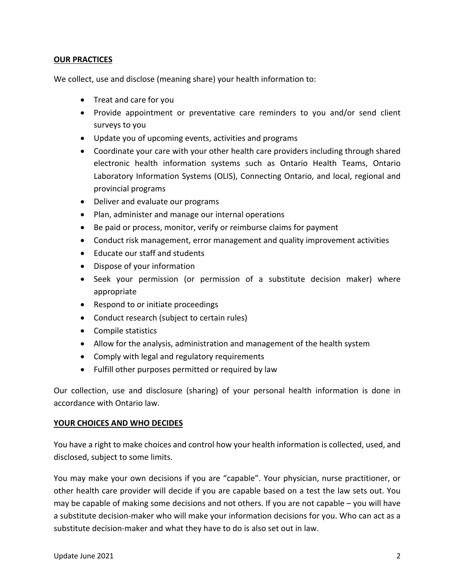# **OUR PRACTICES**

We collect, use and disclose (meaning share) your health information to:

- Treat and care for you
- Provide appointment or preventative care reminders to you and/or send client surveys to you
- Update you of upcoming events, activities and programs
- Coordinate your care with your other health care providers including through shared electronic health information systems such as Ontario Health Teams, Ontario Laboratory Information Systems (OLIS), Connecting Ontario, and local, regional and provincial programs
- Deliver and evaluate our programs
- Plan, administer and manage our internal operations
- Be paid or process, monitor, verify or reimburse claims for payment
- Conduct risk management, error management and quality improvement activities
- Educate our staff and students
- Dispose of your information
- Seek your permission (or permission of a substitute decision maker) where appropriate
- Respond to or initiate proceedings
- Conduct research (subject to certain rules)
- Compile statistics
- Allow for the analysis, administration and management of the health system
- Comply with legal and regulatory requirements
- Fulfill other purposes permitted or required by law

Our collection, use and disclosure (sharing) of your personal health information is done in accordance with Ontario law.

#### **YOUR CHOICES AND WHO DECIDES**

You have a right to make choices and control how your health information is collected, used, and disclosed, subject to some limits.

You may make your own decisions if you are "capable". Your physician, nurse practitioner, or other health care provider will decide if you are capable based on a test the law sets out. You may be capable of making some decisions and not others. If you are not capable – you will have a substitute decision-maker who will make your information decisions for you. Who can act as a substitute decision-maker and what they have to do is also set out in law.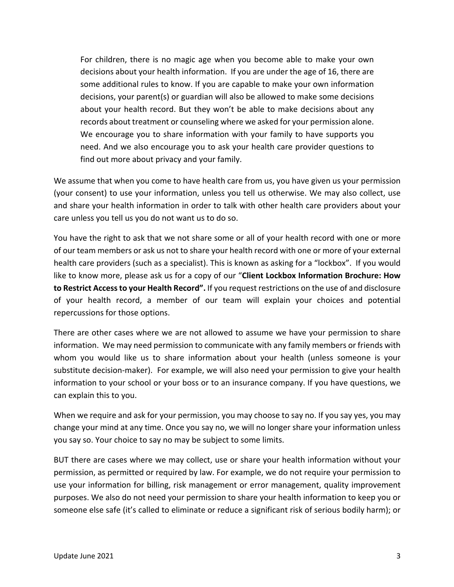For children, there is no magic age when you become able to make your own decisions about your health information. If you are under the age of 16, there are some additional rules to know. If you are capable to make your own information decisions, your parent(s) or guardian will also be allowed to make some decisions about your health record. But they won't be able to make decisions about any records about treatment or counseling where we asked for your permission alone. We encourage you to share information with your family to have supports you need. And we also encourage you to ask your health care provider questions to find out more about privacy and your family.

We assume that when you come to have health care from us, you have given us your permission (your consent) to use your information, unless you tell us otherwise. We may also collect, use and share your health information in order to talk with other health care providers about your care unless you tell us you do not want us to do so.

You have the right to ask that we not share some or all of your health record with one or more of our team members or ask us not to share your health record with one or more of your external health care providers (such as a specialist). This is known as asking for a "lockbox". If you would like to know more, please ask us for a copy of our "**Client Lockbox Information Brochure: How to Restrict Access to your Health Record".** If you request restrictions on the use of and disclosure of your health record, a member of our team will explain your choices and potential repercussions for those options.

There are other cases where we are not allowed to assume we have your permission to share information. We may need permission to communicate with any family members or friends with whom you would like us to share information about your health (unless someone is your substitute decision-maker). For example, we will also need your permission to give your health information to your school or your boss or to an insurance company. If you have questions, we can explain this to you.

When we require and ask for your permission, you may choose to say no. If you say yes, you may change your mind at any time. Once you say no, we will no longer share your information unless you say so. Your choice to say no may be subject to some limits.

BUT there are cases where we may collect, use or share your health information without your permission, as permitted or required by law. For example, we do not require your permission to use your information for billing, risk management or error management, quality improvement purposes. We also do not need your permission to share your health information to keep you or someone else safe (it's called to eliminate or reduce a significant risk of serious bodily harm); or